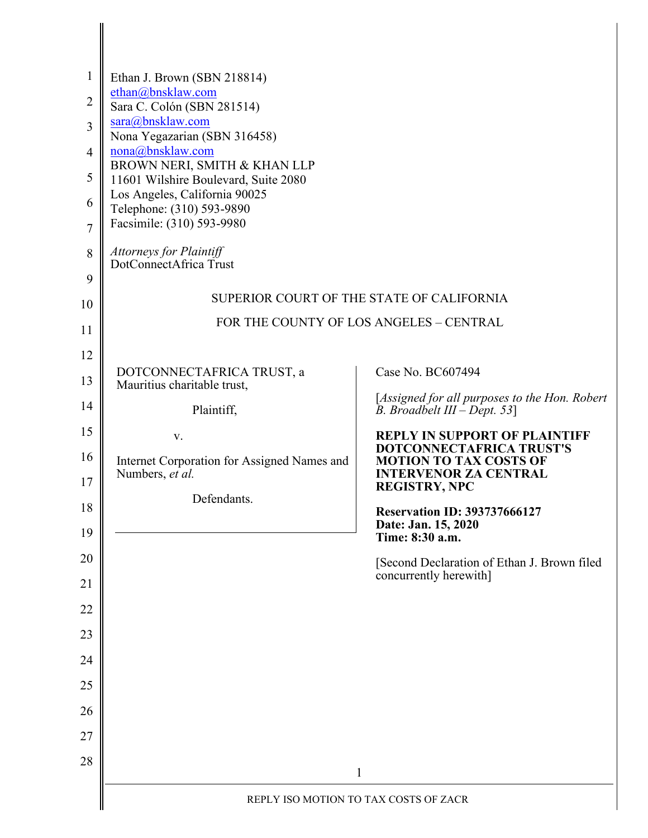| $\mathbf{1}$   | Ethan J. Brown (SBN 218814)                                                          |                                                                                       |  |
|----------------|--------------------------------------------------------------------------------------|---------------------------------------------------------------------------------------|--|
| $\overline{2}$ | ethan@bnsklaw.com<br>Sara C. Colón (SBN 281514)                                      |                                                                                       |  |
| 3              | sara@bnsklaw.com                                                                     |                                                                                       |  |
| $\overline{4}$ | Nona Yegazarian (SBN 316458)<br>nona@bnsklaw.com                                     |                                                                                       |  |
| 5              | BROWN NERI, SMITH & KHAN LLP<br>11601 Wilshire Boulevard, Suite 2080                 |                                                                                       |  |
| 6              | Los Angeles, California 90025<br>Telephone: (310) 593-9890                           |                                                                                       |  |
| $\overline{7}$ | Facsimile: (310) 593-9980                                                            |                                                                                       |  |
| 8              | Attorneys for Plaintiff<br>DotConnectAfrica Trust                                    |                                                                                       |  |
| 9              |                                                                                      |                                                                                       |  |
| 10             | SUPERIOR COURT OF THE STATE OF CALIFORNIA<br>FOR THE COUNTY OF LOS ANGELES - CENTRAL |                                                                                       |  |
| 11             |                                                                                      |                                                                                       |  |
| 12             | DOTCONNECTAFRICA TRUST, a                                                            | Case No. BC607494                                                                     |  |
| 13             | Mauritius charitable trust,                                                          | [Assigned for all purposes to the Hon. Robert                                         |  |
| 14             | Plaintiff,                                                                           | B. Broadbelt $III - Dept. 53$ ]                                                       |  |
| 15             | V.                                                                                   | <b>REPLY IN SUPPORT OF PLAINTIFF</b><br>DOTCONNECTAFRICA TRUST'S                      |  |
| 16<br>17       | Internet Corporation for Assigned Names and<br>Numbers, et al.                       | <b>MOTION TO TAX COSTS OF</b><br><b>INTERVENOR ZA CENTRAL</b><br><b>REGISTRY, NPC</b> |  |
| 18             | Defendants.                                                                          | <b>Reservation ID: 393737666127</b>                                                   |  |
| 19             |                                                                                      | Date: Jan. 15, 2020<br>Time: 8:30 a.m.                                                |  |
| 20             |                                                                                      | [Second Declaration of Ethan J. Brown filed                                           |  |
| 21             |                                                                                      | concurrently herewith]                                                                |  |
| 22             |                                                                                      |                                                                                       |  |
| 23             |                                                                                      |                                                                                       |  |
| 24             |                                                                                      |                                                                                       |  |
| 25             |                                                                                      |                                                                                       |  |
| 26             |                                                                                      |                                                                                       |  |
| 27             |                                                                                      |                                                                                       |  |
| 28             |                                                                                      | $\mathbf{1}$                                                                          |  |
|                | REPLY ISO MOTION TO TAX COSTS OF ZACR                                                |                                                                                       |  |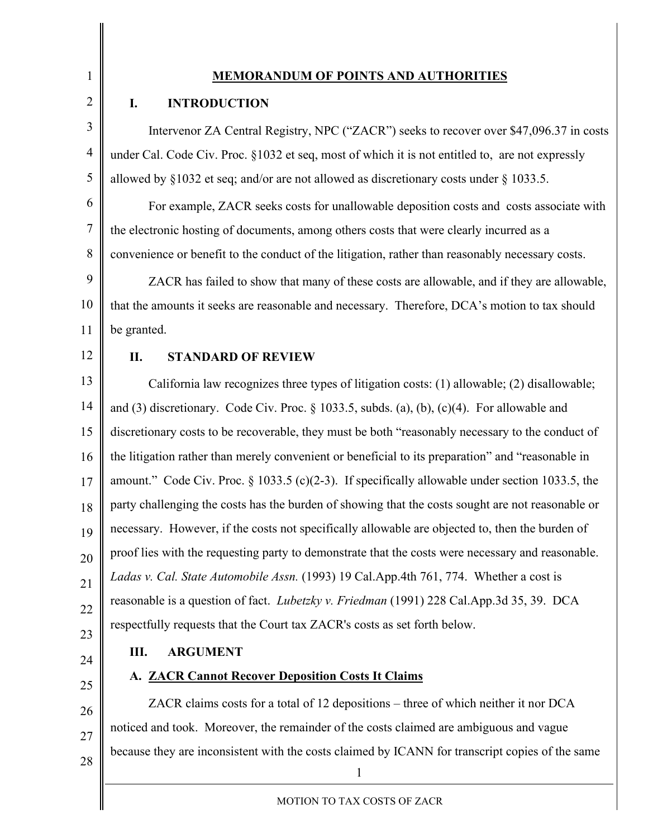1 2

#### **MEMORANDUM OF POINTS AND AUTHORITIES**

#### **I. INTRODUCTION**

3 4 5 Intervenor ZA Central Registry, NPC ("ZACR") seeks to recover over \$47,096.37 in costs under Cal. Code Civ. Proc. §1032 et seq, most of which it is not entitled to, are not expressly allowed by §1032 et seq; and/or are not allowed as discretionary costs under § 1033.5.

6 7 8 For example, ZACR seeks costs for unallowable deposition costs and costs associate with the electronic hosting of documents, among others costs that were clearly incurred as a convenience or benefit to the conduct of the litigation, rather than reasonably necessary costs.

9 10 11 ZACR has failed to show that many of these costs are allowable, and if they are allowable, that the amounts it seeks are reasonable and necessary. Therefore, DCA's motion to tax should be granted.

12

#### **II. STANDARD OF REVIEW**

13 14 15 16 17 18 19 20 21 22 California law recognizes three types of litigation costs: (1) allowable; (2) disallowable; and (3) discretionary. Code Civ. Proc. § 1033.5, subds. (a), (b), (c)(4). For allowable and discretionary costs to be recoverable, they must be both "reasonably necessary to the conduct of the litigation rather than merely convenient or beneficial to its preparation" and "reasonable in amount." Code Civ. Proc. § 1033.5 (c)(2-3). If specifically allowable under section 1033.5, the party challenging the costs has the burden of showing that the costs sought are not reasonable or necessary. However, if the costs not specifically allowable are objected to, then the burden of proof lies with the requesting party to demonstrate that the costs were necessary and reasonable. *Ladas v. Cal. State Automobile Assn.* (1993) 19 Cal.App.4th 761, 774. Whether a cost is reasonable is a question of fact. *Lubetzky v. Friedman* (1991) 228 Cal.App.3d 35, 39. DCA respectfully requests that the Court tax ZACR's costs as set forth below.

23

25

# 24

### **III. ARGUMENT**

### **A. ZACR Cannot Recover Deposition Costs It Claims**

1 26 27 28 ZACR claims costs for a total of 12 depositions – three of which neither it nor DCA noticed and took. Moreover, the remainder of the costs claimed are ambiguous and vague because they are inconsistent with the costs claimed by ICANN for transcript copies of the same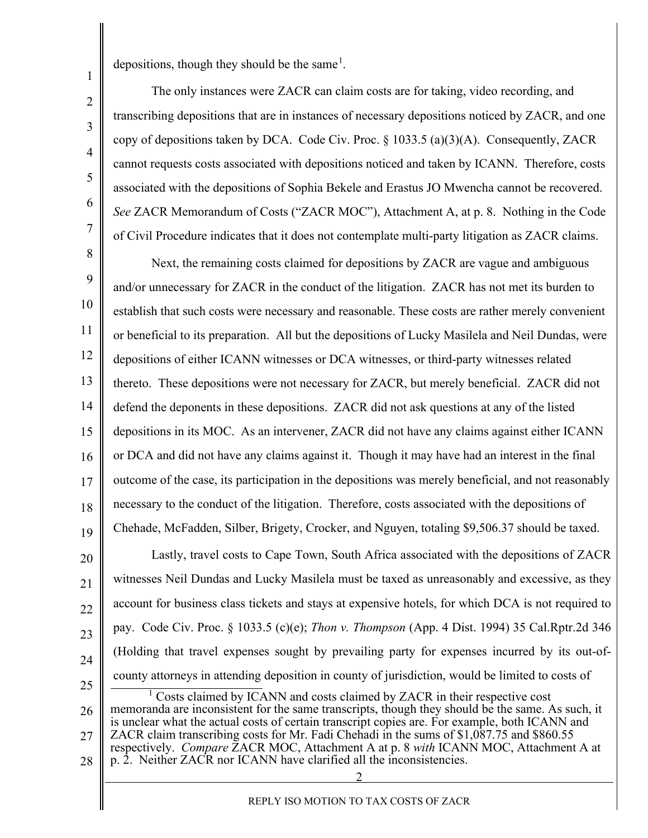depositions, though they should be the same<sup>[1](#page-2-0)</sup>.

1

2

3

4

5

6

7

The only instances were ZACR can claim costs are for taking, video recording, and transcribing depositions that are in instances of necessary depositions noticed by ZACR, and one copy of depositions taken by DCA. Code Civ. Proc. § 1033.5 (a)(3)(A). Consequently, ZACR cannot requests costs associated with depositions noticed and taken by ICANN. Therefore, costs associated with the depositions of Sophia Bekele and Erastus JO Mwencha cannot be recovered. *See* ZACR Memorandum of Costs ("ZACR MOC"), Attachment A, at p. 8. Nothing in the Code of Civil Procedure indicates that it does not contemplate multi-party litigation as ZACR claims.

Next, the remaining costs claimed for depositions by ZACR are vague and ambiguous and/or unnecessary for ZACR in the conduct of the litigation. ZACR has not met its burden to establish that such costs were necessary and reasonable. These costs are rather merely convenient or beneficial to its preparation. All but the depositions of Lucky Masilela and Neil Dundas, were depositions of either ICANN witnesses or DCA witnesses, or third-party witnesses related thereto. These depositions were not necessary for ZACR, but merely beneficial. ZACR did not defend the deponents in these depositions. ZACR did not ask questions at any of the listed depositions in its MOC. As an intervener, ZACR did not have any claims against either ICANN or DCA and did not have any claims against it. Though it may have had an interest in the final outcome of the case, its participation in the depositions was merely beneficial, and not reasonably necessary to the conduct of the litigation. Therefore, costs associated with the depositions of Chehade, McFadden, Silber, Brigety, Crocker, and Nguyen, totaling \$9,506.37 should be taxed. Lastly, travel costs to Cape Town, South Africa associated with the depositions of ZACR witnesses Neil Dundas and Lucky Masilela must be taxed as unreasonably and excessive, as they account for business class tickets and stays at expensive hotels, for which DCA is not required to pay. Code Civ. Proc. § 1033.5 (c)(e); *Thon v. Thompson* (App. 4 Dist. 1994) 35 Cal.Rptr.2d 346 (Holding that travel expenses sought by prevailing party for expenses incurred by its out-ofcounty attorneys in attending deposition in county of jurisdiction, would be limited to costs of 8 9 10 11 12 13 14 15 16 17 18 19 20 21 22 23 24 25 <sup>1</sup> Costs claimed by ICANN and costs claimed by ZACR in their respective cost

<span id="page-2-0"></span>26 27 28 memoranda are inconsistent for the same transcripts, though they should be the same. As such, it is unclear what the actual costs of certain transcript copies are. For example, both ICANN and ZACR claim transcribing costs for Mr. Fadi Chehadi in the sums of \$1,087.75 and \$860.55 respectively. *Compare* ZACR MOC, Attachment A at p. 8 *with* ICANN MOC, Attachment A at p. 2. Neither ZACR nor ICANN have clarified all the inconsistencies.

2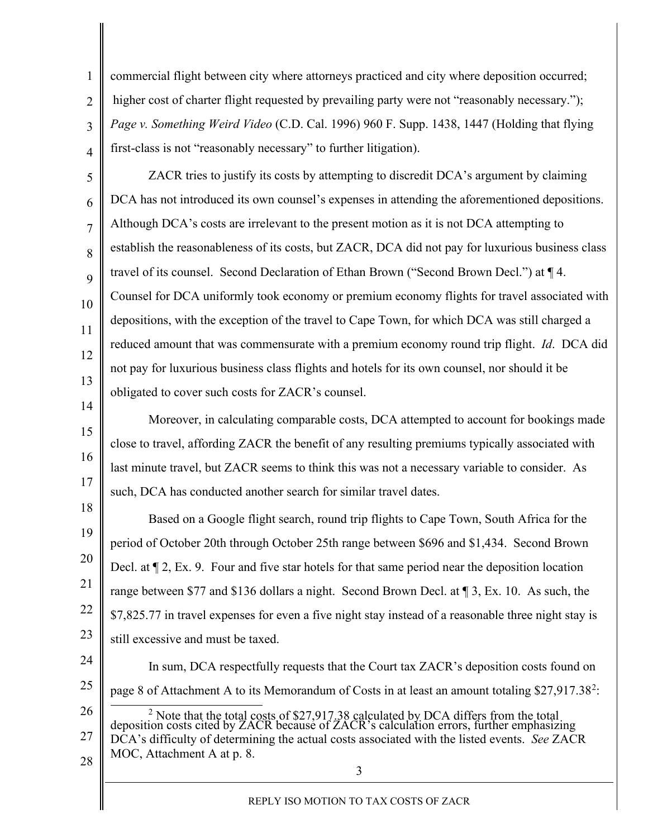commercial flight between city where attorneys practiced and city where deposition occurred; higher cost of charter flight requested by prevailing party were not "reasonably necessary."); *Page v. Something Weird Video* (C.D. Cal. 1996) 960 F. Supp. 1438, 1447 (Holding that flying first-class is not "reasonably necessary" to further litigation).

1

2

3

4

14

15

16

17

5 6 7 8 9 10 11 12 13 ZACR tries to justify its costs by attempting to discredit DCA's argument by claiming DCA has not introduced its own counsel's expenses in attending the aforementioned depositions. Although DCA's costs are irrelevant to the present motion as it is not DCA attempting to establish the reasonableness of its costs, but ZACR, DCA did not pay for luxurious business class travel of its counsel. Second Declaration of Ethan Brown ("Second Brown Decl.") at ¶ 4. Counsel for DCA uniformly took economy or premium economy flights for travel associated with depositions, with the exception of the travel to Cape Town, for which DCA was still charged a reduced amount that was commensurate with a premium economy round trip flight. *Id*. DCA did not pay for luxurious business class flights and hotels for its own counsel, nor should it be obligated to cover such costs for ZACR's counsel.

Moreover, in calculating comparable costs, DCA attempted to account for bookings made close to travel, affording ZACR the benefit of any resulting premiums typically associated with last minute travel, but ZACR seems to think this was not a necessary variable to consider. As such, DCA has conducted another search for similar travel dates.

18 19 20 21 22 23 Based on a Google flight search, round trip flights to Cape Town, South Africa for the period of October 20th through October 25th range between \$696 and \$1,434. Second Brown Decl. at ¶ 2, Ex. 9. Four and five star hotels for that same period near the deposition location range between \$77 and \$136 dollars a night. Second Brown Decl. at ¶ 3, Ex. 10. As such, the \$7,825.77 in travel expenses for even a five night stay instead of a reasonable three night stay is still excessive and must be taxed.

24 25 26 In sum, DCA respectfully requests that the Court tax ZACR's deposition costs found on page 8 of Attachment A to its Memorandum of Costs in at least an amount totaling \$[2](#page-3-0)7,917.38<sup>2</sup>: <sup>2</sup> Note that the total costs of \$27,917.38 calculated by DCA differs from the total

<span id="page-3-0"></span>27 28 deposition costs cited by ZACR because of ZACR's calculation errors, further emphasizing DCA's difficulty of determining the actual costs associated with the listed events. *See* ZACR MOC, Attachment A at p. 8.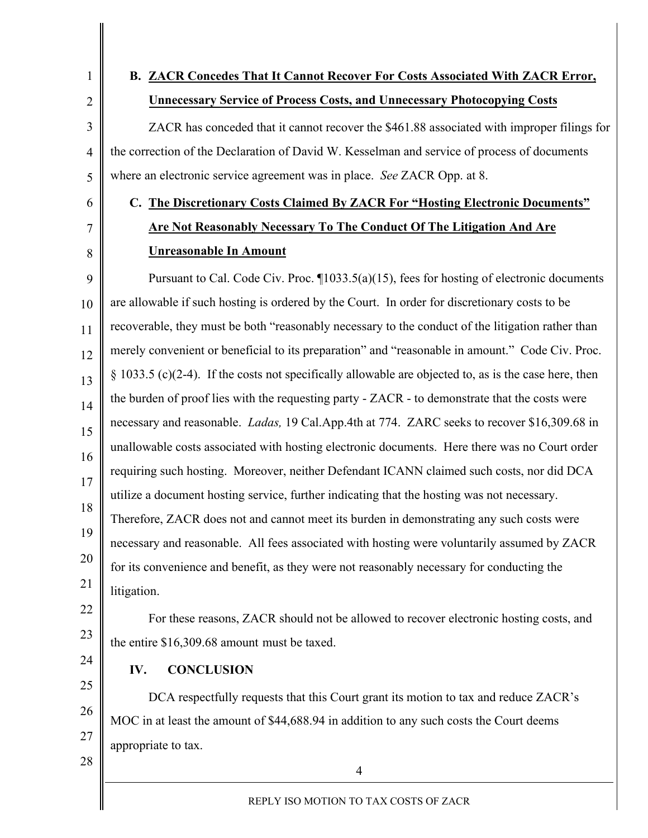1 2

3

4

5

6

7

8

### **B. ZACR Concedes That It Cannot Recover For Costs Associated With ZACR Error, Unnecessary Service of Process Costs, and Unnecessary Photocopying Costs**

ZACR has conceded that it cannot recover the \$461.88 associated with improper filings for the correction of the Declaration of David W. Kesselman and service of process of documents where an electronic service agreement was in place. *See* ZACR Opp. at 8.

# **C. The Discretionary Costs Claimed By ZACR For "Hosting Electronic Documents" Are Not Reasonably Necessary To The Conduct Of The Litigation And Are Unreasonable In Amount**

9 10 11 12 13 14 15 16 17 18 19 20 21 Pursuant to Cal. Code Civ. Proc.  $\P$ 1033.5(a)(15), fees for hosting of electronic documents are allowable if such hosting is ordered by the Court. In order for discretionary costs to be recoverable, they must be both "reasonably necessary to the conduct of the litigation rather than merely convenient or beneficial to its preparation" and "reasonable in amount." Code Civ. Proc. § 1033.5 (c)(2-4). If the costs not specifically allowable are objected to, as is the case here, then the burden of proof lies with the requesting party - ZACR - to demonstrate that the costs were necessary and reasonable. *Ladas,* 19 Cal.App.4th at 774. ZARC seeks to recover \$16,309.68 in unallowable costs associated with hosting electronic documents. Here there was no Court order requiring such hosting. Moreover, neither Defendant ICANN claimed such costs, nor did DCA utilize a document hosting service, further indicating that the hosting was not necessary. Therefore, ZACR does not and cannot meet its burden in demonstrating any such costs were necessary and reasonable. All fees associated with hosting were voluntarily assumed by ZACR for its convenience and benefit, as they were not reasonably necessary for conducting the litigation.

#### 22 23 For these reasons, ZACR should not be allowed to recover electronic hosting costs, and the entire \$16,309.68 amount must be taxed.

**IV. CONCLUSION**

DCA respectfully requests that this Court grant its motion to tax and reduce ZACR's MOC in at least the amount of \$44,688.94 in addition to any such costs the Court deems appropriate to tax.

28

24

25

26

27

4